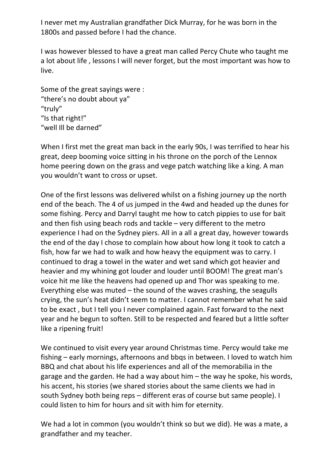I never met my Australian grandfather Dick Murray, for he was born in the 1800s and passed before I had the chance.

I was however blessed to have a great man called Percy Chute who taught me a lot about life , lessons I will never forget, but the most important was how to live.

Some of the great sayings were : "there's no doubt about ya" "truly" "Is that right!" "well Ill be darned"

When I first met the great man back in the early 90s, I was terrified to hear his great, deep booming voice sitting in his throne on the porch of the Lennox home peering down on the grass and vege patch watching like a king. A man you wouldn't want to cross or upset.

One of the first lessons was delivered whilst on a fishing journey up the north end of the beach. The 4 of us jumped in the 4wd and headed up the dunes for some fishing. Percy and Darryl taught me how to catch pippies to use for bait and then fish using beach rods and tackle – very different to the metro experience I had on the Sydney piers. All in a all a great day, however towards the end of the day I chose to complain how about how long it took to catch a fish, how far we had to walk and how heavy the equipment was to carry. I continued to drag a towel in the water and wet sand which got heavier and heavier and my whining got louder and louder until BOOM! The great man's voice hit me like the heavens had opened up and Thor was speaking to me. Everything else was muted – the sound of the waves crashing, the seagulls crying, the sun's heat didn't seem to matter. I cannot remember what he said to be exact , but I tell you I never complained again. Fast forward to the next year and he begun to soften. Still to be respected and feared but a little softer like a ripening fruit!

We continued to visit every year around Christmas time. Percy would take me fishing – early mornings, afternoons and bbqs in between. I loved to watch him BBQ and chat about his life experiences and all of the memorabilia in the garage and the garden. He had a way about him – the way he spoke, his words, his accent, his stories (we shared stories about the same clients we had in south Sydney both being reps – different eras of course but same people). I could listen to him for hours and sit with him for eternity.

We had a lot in common (you wouldn't think so but we did). He was a mate, a grandfather and my teacher.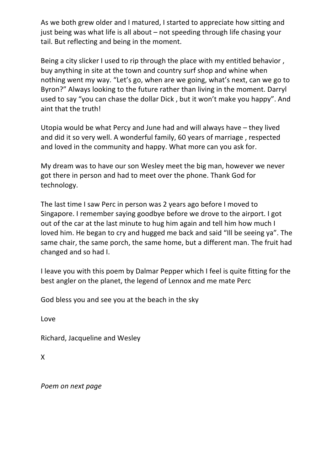As we both grew older and I matured, I started to appreciate how sitting and just being was what life is all about – not speeding through life chasing your tail. But reflecting and being in the moment.

Being a city slicker I used to rip through the place with my entitled behavior , buy anything in site at the town and country surf shop and whine when nothing went my way. "Let's go, when are we going, what's next, can we go to Byron?" Always looking to the future rather than living in the moment. Darryl used to say "you can chase the dollar Dick , but it won't make you happy". And aint that the truth!

Utopia would be what Percy and June had and will always have – they lived and did it so very well. A wonderful family, 60 years of marriage , respected and loved in the community and happy. What more can you ask for.

My dream was to have our son Wesley meet the big man, however we never got there in person and had to meet over the phone. Thank God for technology.

The last time I saw Perc in person was 2 years ago before I moved to Singapore. I remember saying goodbye before we drove to the airport. I got out of the car at the last minute to hug him again and tell him how much I loved him. He began to cry and hugged me back and said "Ill be seeing ya". The same chair, the same porch, the same home, but a different man. The fruit had changed and so had I.

I leave you with this poem by Dalmar Pepper which I feel is quite fitting for the best angler on the planet, the legend of Lennox and me mate Perc

God bless you and see you at the beach in the sky

Love

Richard, Jacqueline and Wesley

X

*Poem on next page*